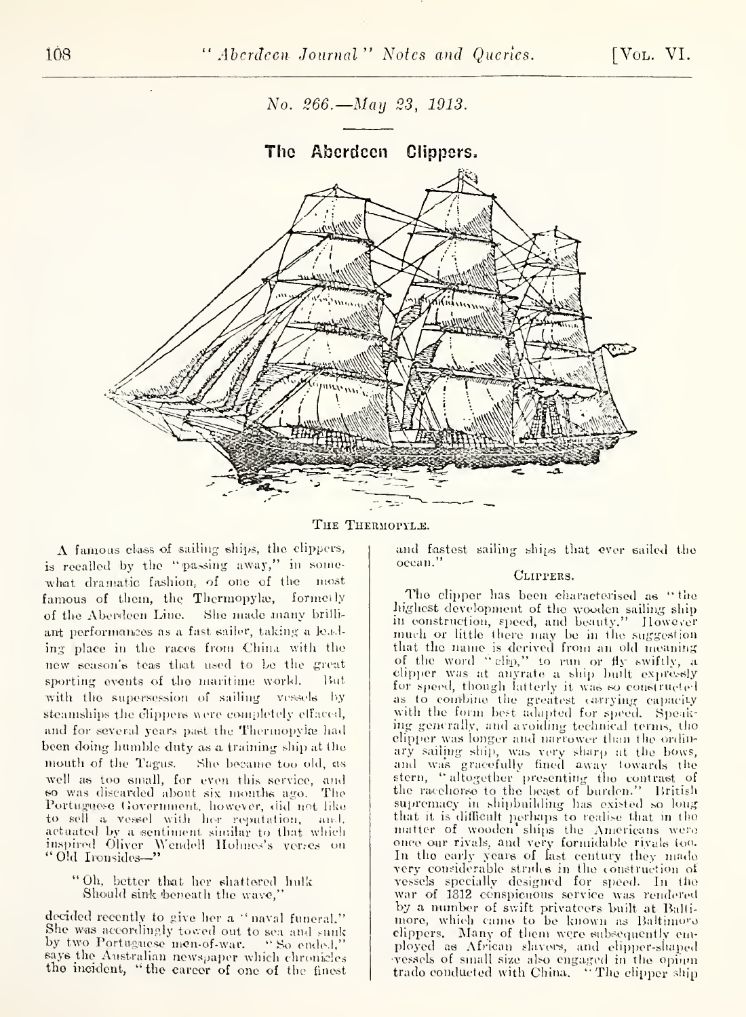No. 266.—Ман 23, 1913.



THE THERMOPYLE.

A famous class of sailing ships, the clippers, is recalled by the "passing away," in somewhat dramatic fashion, of one of the most famous of them, the Thermopylæ, formerly of the Aberdeen Line. She made many brilliant performances as a fast sailer, taking a leading place in the races from China with the new season's teas that used to be the great sporting events of the maritime world.  $But$ with the supersession of sailing vessels by steamships the clippers were completely effaced, and for several years past the Thermopylæ had been doing humble duty as a training ship at the mouth of the Tagus. She became too old, as well as too small, for even this service, and<br>so was discarded about six months ago. The Portuguese Government, however, did not like<br>to sell a vessel with her reputation, and,<br>actuated by a sentiment similar to that which inspired Oliver Wendell Holmes's verses on "Old Ironsides-"

"Oh, better that her shattered hulk Should sink beneath the wave,

decided recently to give her a "naval funeral." She was accordingly towed out to sea and sunk by two Portuguese men-of-war. "So ended," says the Australian newspaper which chronicles the incident, "the career of one of the finest and fastest sailing ships that ever sailed the ocean.'

### CLIPPERS.

The clipper has been characterised as "the highest development of the wooden sailing ship in construction, speed, and beauty." However much or little there may be in the suggestion<br>that the name is derived from an old meaning of the word "clip," to run or fly swiftly, a<br>clipper was at anyrate a ship built expressly for speed, though latterly it was so constructed as to combine the greatest carrying capacity<br>with the form best adapted for speed. Speaking generally, and avoiding technical terms, the elipper was longer and narrower than the ordinary sailing ship, was very sharp at the bows, and was gracefully fined away towards the stern, "altogether presenting the contrast of the racehorse to the beast of burden." British supremacy in shipbuilding has existed so long that it is difficult perhaps to realise that in the matter of wooden ships the Americans were matter of wooder single the "mericians were"<br>in the early years of last century they made very considerable strides in the construction of<br>vessels specially designed for speed. In the war of 1812 conspicuous service was rendered by a number of swift privateers built at Baltimore, which came to be known as Baltimore clippers. Many of them were subsequently employed as African slavers, and elipper-shaped vessels of small size also engaged in the opium<br>trade conducted with China. "The clipper ship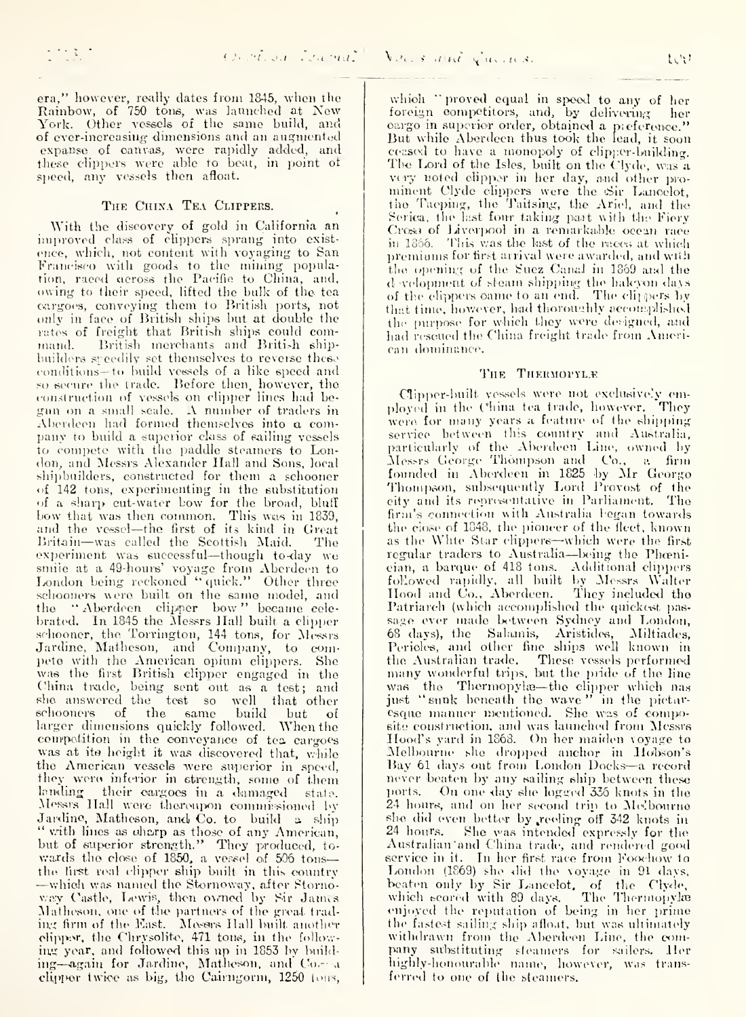era," however, really dates from 1845, when the Rainbow, of 750 tons, was launched at New York. Other vessels of the same build, and of ever-increasing dimensions and an augmented expanse of canvas, were rapidly added, and these clippers were able to beat, in point of speed, any vessels then afloat.

#### THE CHINA TEA CLIPPERS.

With the diseovcry of gold in California an improved class of clippers sprang into existence, which, not content with voyaging to San Francisco with goods to the mining population, raced across the Pacific to China, and, owing to their speed, lifted the bulk of the tea cargoes, conveying them to British ports, not only in face of British ships but at double the rates of freight that British ships could com mand. British merchants and British shipbuilders speedily set themselves to reverse these conditions—to build vessels of a like speed and so secure the trade. Before then, however, the construction of vessels on elipper lines had begun on <sup>a</sup> small scale. <sup>A</sup> number of traders in Aberdeen had formed themselves into o. com pany to build a superior ckiss of sailing vessels to compete with the paddle steamers to London, and Messrs Alexander Ilall and Sons, local shipbuilders, constructed for them a schooner of 142 tons, experimenting in the substitution of a sharp cut-water bow for the broad, bluff<br>bow that was then common. This was in 1839,<br>and the vessel—the first of its kind in Great Britain—was called the Scottish Maid. The experiment was successful—though to-day we smile at a 49-hours' voyage from Aberdeen to London being reckoned "quick." Other three schooners were built on the same model, and [1] |<br>the ''Aberdeen clipper bow'' became celebrated. In 1845 the Messrs Hall built a clipper schooner, the Torrington, 144 tons, for Messrs Jardinc, Mathcson, and Company, to compete witli the American opium clippers. She was the first British clipper engaged in the China trade, being sent out as a test; and she answered the test so well that other schooners of the same build but of larger dimensions quickly followed. When the competition in the conveyance of tes cargoes was at ite height it was discovered that, valile the American vessels were superior in speed, they were inferior in strength, some of them landing their cargoes in a damaged state. Messis Hall were thereupon commissioned by<br>Jardine, Matheson, and Co. to build a ship Jardino, Matheson, and Co. to build a, ship "<br>" vith lines as charp as those of any American,<br>but of superior strength." They produced, towards the close of 1850, a vessel of 506 tons—<br>the first real clipper ship built in this country —which was named the Stornoway, after Stornoway Castle, Lewis, then owned by Sir James Matheson, one of the partners of the great trading firm of the East. Mesers Hall built another cliiip;^-, the Chrysolite, 471 touis, in tlu> fidlow-iiV-T year, and foilowcMi this up in 1853 Iw build ing—again for Jardine, Matheson, and Co- a clipper twice as big, the Cairngorm,  $1250$  lons,

which "proved equal in speed to any of her foreign competitors, and, by delivering her cargo in superior order, obtained a preference." But while Aberdeen thus took the lead, it soon ceased to have a monopoly of clipper-building. The Lord of the Isles, built on the Clyde, was a very noted clipper in her day, and other prominent Clyde clippers were the Sir Lancelot, the Taeping, the Taitsing, the Ariel, and the Serica, the last four taking part with the Fiery Cross of Liverpool in a remarkable ocean race in 1356. This was the last of the meers at which premiums for first arrival were awarded, and with the opening of the Suez Canal in 1869 and the d velopment of steam shipping the halcyon days and the elippers oame to an end. The clippers by an official that time, however, had thoroughly accomplished the purpose for which they were designed, and had resetted the China freight trade from American dominance.

### THE THERMOPYL.E

Clipper-built vessels were not exclusively em-<br>ployed in the China tea trade, however. They were for many years a feature of the shipping service between this country and Australia,<br>particularly of the Aberdeen Line, owned by Messrs George Thompson and Co., a firm founded in Aberdeen in 1825 by Mr George Thompson, subsequently Lord Provost of the city and its representative in Parliament. The firm's connection with Australia legan towards the close of 1848, the pioneer of the fleet, known as the White Star clippers-which were the first regular traders to Australia-being the Phoenician, a barque of 418 tons. Additional clippers followed rapidly, all built by Messrs Walter Hood and Co., Aberdeen. They included the H Patriarch (which accomplished the quickest passage ever made between Sydney and London, 68 days), the Salamis, Aristides, Miltiades, Pericles, and other fine ships well known in the Australian tra<le. Those vessels performed many won<lerful trips, but the jjiide of the lino was the Thermopyla—the clipper which nas<br>just "snnk beneath the wave" in the pictaresque manuer mentioned. She was of composite construction, and was launched from Messrs<br>Hood's yard in 1868. On her maiden voyage to ^lelbourne she di'oj)])e(-l anchor in Ilobson's Bay <sup>61</sup> days out from London Docks—<sup>a</sup> recxji'd never beaten by any sailing ship between these ports. On one day she logged 336 knots in the 24 hours, and on her second trip to Mclbourne she did even better by reeling off 342 knots in 24 hours. She was intended expressly for the Australian and China trade, and rendered good service in it. In her first race from Foochow to London (1869) she did the voyage in 91 days, beaten only by Sir Lancelot, of the Clyde,<br>which scored with 89 days. The Thermopylæ enjoyed the reputation of being in her prime the fastest sailing ship afloat, but was ultimately withdrawn from the Aberdeen Line, the company substituting steamers for sailers. Her highly-honourable name, however, was transferred to one of the steamers.